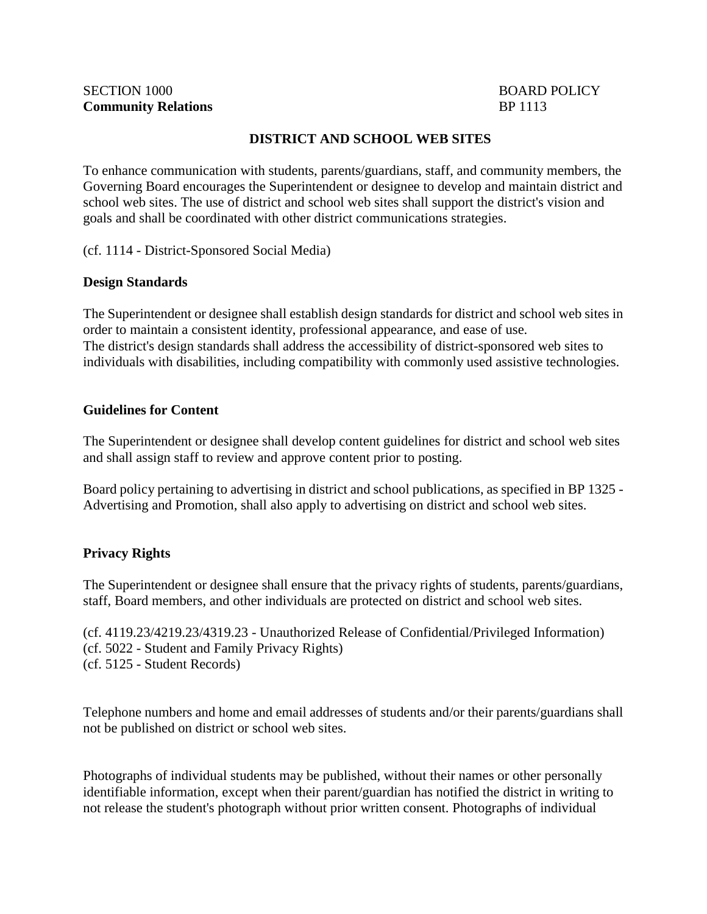## **DISTRICT AND SCHOOL WEB SITES**

To enhance communication with students, parents/guardians, staff, and community members, the Governing Board encourages the Superintendent or designee to develop and maintain district and school web sites. The use of district and school web sites shall support the district's vision and goals and shall be coordinated with other district communications strategies.

(cf. 1114 - District-Sponsored Social Media)

## **Design Standards**

The Superintendent or designee shall establish design standards for district and school web sites in order to maintain a consistent identity, professional appearance, and ease of use. The district's design standards shall address the accessibility of district-sponsored web sites to individuals with disabilities, including compatibility with commonly used assistive technologies.

#### **Guidelines for Content**

The Superintendent or designee shall develop content guidelines for district and school web sites and shall assign staff to review and approve content prior to posting.

Board policy pertaining to advertising in district and school publications, as specified in BP 1325 - Advertising and Promotion, shall also apply to advertising on district and school web sites.

# **Privacy Rights**

The Superintendent or designee shall ensure that the privacy rights of students, parents/guardians, staff, Board members, and other individuals are protected on district and school web sites.

(cf. 4119.23/4219.23/4319.23 - Unauthorized Release of Confidential/Privileged Information) (cf. 5022 - Student and Family Privacy Rights) (cf. 5125 - Student Records)

Telephone numbers and home and email addresses of students and/or their parents/guardians shall not be published on district or school web sites.

Photographs of individual students may be published, without their names or other personally identifiable information, except when their parent/guardian has notified the district in writing to not release the student's photograph without prior written consent. Photographs of individual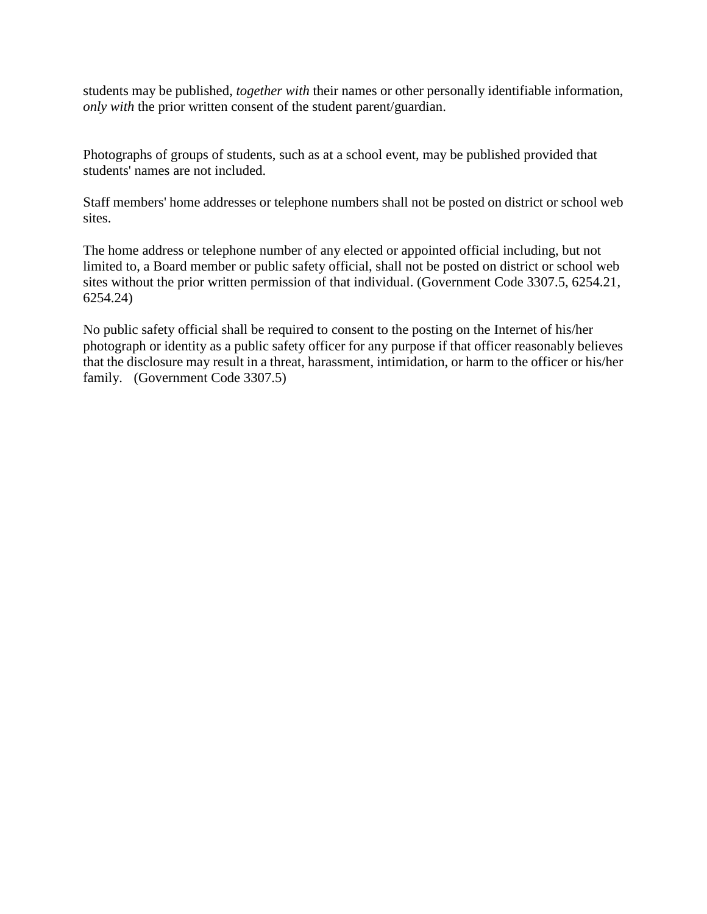students may be published, *together with* their names or other personally identifiable information, *only with* the prior written consent of the student parent/guardian.

Photographs of groups of students, such as at a school event, may be published provided that students' names are not included.

Staff members' home addresses or telephone numbers shall not be posted on district or school web sites.

The home address or telephone number of any elected or appointed official including, but not limited to, a Board member or public safety official, shall not be posted on district or school web sites without the prior written permission of that individual. (Government Code 3307.5, 6254.21, 6254.24)

No public safety official shall be required to consent to the posting on the Internet of his/her photograph or identity as a public safety officer for any purpose if that officer reasonably believes that the disclosure may result in a threat, harassment, intimidation, or harm to the officer or his/her family. (Government Code 3307.5)